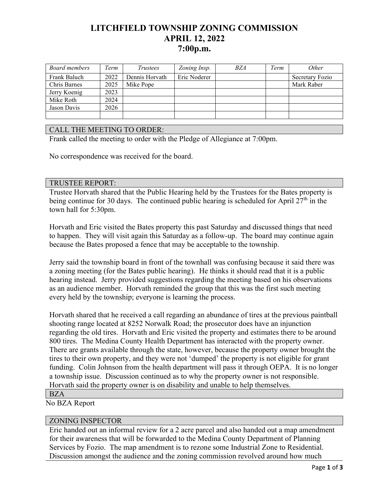# **LITCHFIELD TOWNSHIP ZONING COMMISSION APRIL 12, 2022 7:00p.m.**

| Board members | Term | Trustees       | Zoning Insp. | <b>BZA</b> | Term | Other           |
|---------------|------|----------------|--------------|------------|------|-----------------|
| Frank Baluch  | 2022 | Dennis Horvath | Eric Noderer |            |      | Secretary Fozio |
| Chris Barnes  | 2025 | Mike Pope      |              |            |      | Mark Raber      |
| Jerry Koenig  | 2023 |                |              |            |      |                 |
| Mike Roth     | 2024 |                |              |            |      |                 |
| Jason Davis   | 2026 |                |              |            |      |                 |
|               |      |                |              |            |      |                 |

## CALL THE MEETING TO ORDER:

Frank called the meeting to order with the Pledge of Allegiance at 7:00pm.

No correspondence was received for the board.

#### TRUSTEE REPORT:

Trustee Horvath shared that the Public Hearing held by the Trustees for the Bates property is being continue for 30 days. The continued public hearing is scheduled for April  $27<sup>th</sup>$  in the town hall for 5:30pm.

Horvath and Eric visited the Bates property this past Saturday and discussed things that need to happen. They will visit again this Saturday as a follow-up. The board may continue again because the Bates proposed a fence that may be acceptable to the township.

Jerry said the township board in front of the townhall was confusing because it said there was a zoning meeting (for the Bates public hearing). He thinks it should read that it is a public hearing instead. Jerry provided suggestions regarding the meeting based on his observations as an audience member. Horvath reminded the group that this was the first such meeting every held by the township; everyone is learning the process.

Horvath shared that he received a call regarding an abundance of tires at the previous paintball shooting range located at 8252 Norwalk Road; the prosecutor does have an injunction regarding the old tires. Horvath and Eric visited the property and estimates there to be around 800 tires. The Medina County Health Department has interacted with the property owner. There are grants available through the state, however, because the property owner brought the tires to their own property, and they were not 'dumped' the property is not eligible for grant funding. Colin Johnson from the health department will pass it through OEPA. It is no longer a township issue. Discussion continued as to why the property owner is not responsible. Horvath said the property owner is on disability and unable to help themselves.

#### BZA

No BZA Report

### ZONING INSPECTOR

Eric handed out an informal review for a 2 acre parcel and also handed out a map amendment for their awareness that will be forwarded to the Medina County Department of Planning Services by Fozio. The map amendment is to rezone some Industrial Zone to Residential. Discussion amongst the audience and the zoning commission revolved around how much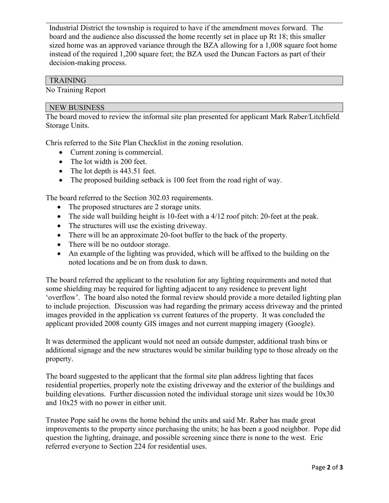Industrial District the township is required to have if the amendment moves forward. The board and the audience also discussed the home recently set in place up Rt 18; this smaller sized home was an approved variance through the BZA allowing for a 1,008 square foot home instead of the required 1,200 square feet; the BZA used the Duncan Factors as part of their decision-making process.

# TRAINING

No Training Report

## NEW BUSINESS

The board moved to review the informal site plan presented for applicant Mark Raber/Litchfield Storage Units.

Chris referred to the Site Plan Checklist in the zoning resolution.

- Current zoning is commercial.
- The lot width is 200 feet.
- The lot depth is 443.51 feet.
- The proposed building setback is 100 feet from the road right of way.

The board referred to the Section 302.03 requirements.

- The proposed structures are 2 storage units.
- The side wall building height is 10-feet with a 4/12 roof pitch: 20-feet at the peak.
- The structures will use the existing driveway.
- There will be an approximate 20-foot buffer to the back of the property.
- There will be no outdoor storage.
- An example of the lighting was provided, which will be affixed to the building on the noted locations and be on from dusk to dawn.

The board referred the applicant to the resolution for any lighting requirements and noted that some shielding may be required for lighting adjacent to any residence to prevent light 'overflow'. The board also noted the formal review should provide a more detailed lighting plan to include projection. Discussion was had regarding the primary access driveway and the printed images provided in the application vs current features of the property. It was concluded the applicant provided 2008 county GIS images and not current mapping imagery (Google).

It was determined the applicant would not need an outside dumpster, additional trash bins or additional signage and the new structures would be similar building type to those already on the property.

The board suggested to the applicant that the formal site plan address lighting that faces residential properties, properly note the existing driveway and the exterior of the buildings and building elevations. Further discussion noted the individual storage unit sizes would be 10x30 and 10x25 with no power in either unit.

Trustee Pope said he owns the home behind the units and said Mr. Raber has made great improvements to the property since purchasing the units; he has been a good neighbor. Pope did question the lighting, drainage, and possible screening since there is none to the west. Eric referred everyone to Section 224 for residential uses.